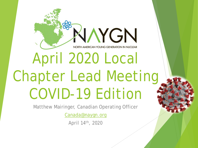# KIAYGN NORTH AMERICAN YOUNG GENERATION IN NUCLEAR April 2020 Local Chapter Lead Meeting COVID-19 Edition

Matthew Mairinger, Canadian Operating Officer

[Canada@naygn.org](mailto:Canada@naygn.org)

April 14th, 2020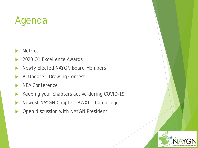### Agenda

- **Metrics**
- 2020 Q1 Excellence Awards
- Newly Elected NAYGN Board Members
- PI Update Drawing Contest
- NEA Conference
- Keeping your chapters active during COVID-19
- Newest NAYGN Chapter: BWXT Cambridge
- Open discussion with NAYGN President

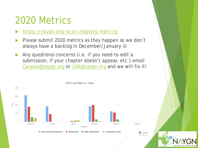#### 2020 Metrics

- <https://naygn.org/local-chapters/metrics/>
- Please submit 2020 metrics as they happen so we don't always have a backlog in December/January
- Any questions/concerns (i.e. if you need to edit a submission, if your chapter doesn't appear, etc.) email [Canada@naygn.org](mailto:Canada@naygn.org) or [USA@naygn.org](mailto:USA@naygn.org) and we will fix it!

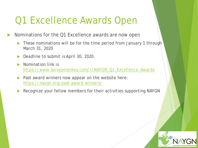### Q1 Excellence Awards Open

Nominations for the Q1 Excellence awards are now open

- These nominations will be for the time period from January 1 through March 31, 2020
- Deadline to submit is April 30, 2020.
- Nomination link is [https://www.surveymonkey.com/r/NAYGN\\_Q1\\_Excellence\\_Awards](https://www.surveymonkey.com/r/NAYGN_Q1_Excellence_Awards)
- $\triangleright$  Past award winners now appear on the website here: <https://naygn.org/past-award-winners/>
- Recognize your fellow members for their activities supporting NAYGN

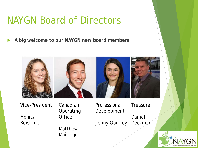#### NAYGN Board of Directors

**A big welcome to our NAYGN new board members:**



Vice-President Monica Beistline

Canadian Operating **Officer** 

Matthew

Mairinger

Daniel Deckman Development Jenny Gourley

Professional

**Treasurer** 

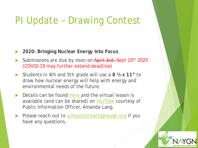### PI Update – Drawing Contest

- **2020: Bringing Nuclear Energy Into Focus**
- Submissions are due by noon on April 3rd. Sept 20<sup>th</sup> 2020 (COVID-19 may further extend deadline)
- Students in 4th and 5th grade will use a **8 ½ x 11"** to draw how nuclear energy will help with energy and environmental needs of the future.
- $\triangleright$  Details can be found [here](https://naygn.org/committees/public-information/student-education/) and the virtual lesson is available (and can be shared) on [YouTube](https://can01.safelinks.protection.outlook.com/?url=https%3A%2F%2Fnaygn.us4.list-manage.com%2Ftrack%2Fclick%3Fu%3Df23840f61e6814002019b7fa4%26id%3Db381ceb58e%26e%3D4ee0add9be&data=02%7C01%7Cmatthew.mairinger%40opg.com%7Cb8dbf278c5154d4bea6e08d7dbde4abb%7C962f21cf93ea449f99bf402e2b2987b2%7C0%7C0%7C637219620114128932&sdata=wE2DyJLu5Yov6PuaTZjQvX%2FnW3B0Sid%2BEXvR%2BFAQHz4%3D&reserved=0) courtesy of Public Information Officer, Amanda Lang.
- Please reach out to [schooloutreach@naygn.org](mailto:schooloutreach@naygn.org?subject=NAYGN%20Drawing%20Contest) if you have any questions.

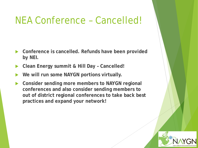#### NEA Conference – Cancelled!

- **Conference is cancelled. Refunds have been provided by NEI.**
- **Clean Energy summit & Hill Day – Cancelled!**
- **We will run some NAYGN portions virtually.**
- **Consider sending more members to NAYGN regional conferences and also consider sending members to out of district regional conferences to take back best practices and expand your network!**

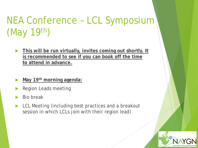# NEA Conference – LCL Symposium (May 19th)

- **This will be run virtually, invites coming out shortly. It is recommended to see if you can book off the time to attend in advance.**
- **May 19th morning agenda:**
- Region Leads meeting
- Bio break
- LCL Meeting (including best practices and a breakout session in which LCLs join with their region lead)

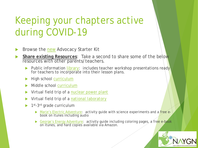- Browse the [new](https://naygn.org/naygn-advocacy-starter-kit/) Advocacy Starter Kit
- **Share existing Resources**: Take a second to share some of the below resources with other parents/teachers.
	- Public information [library:](https://naygn.org/committees/public-information/public-information-library/) includes teacher workshop presentations ready for teachers to incorporate into their lesson plans.
	- High school [curriculum](https://www.navigatingnuclear.com/classroom-resources/high-school/)
	- Middle school [curriculum](https://www.navigatingnuclear.com/classroom-resources/middle-school)
	- Virtual field trip of a [nuclear power plant](https://www.navigatingnuclear.com/palo-verde-generating-station-vft)
	- Virtual field trip of a [national laboratory](https://www.navigatingnuclear.com/nuclear-reimagined-vft)
	- 1<sup>st</sup>-3<sup>rd</sup> grade curriculum
		- [Marie's Electric Adventure:](https://naygn.org/committees/public-information/maries-electric-adventure/) activity guide with science experiments and a free e-<br>book on itunes including audio
		- [George's Energy Adventure:](https://naygn.org/georges-energy-adventure/) activity guide including coloring pages, a free e-book on itunes, and hard copies available via Amazon.

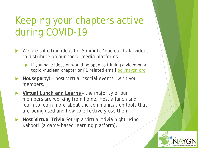- We are soliciting ideas for 5 minute 'nuclear talk' videos to distribute on our social media platforms.
	- If you have ideas or would be open to filming a video on a topic –nuclear, chapter or PD related email [pd@naygn.org](mailto:pd@naygn.org)
- **Houseparty!**  host virtual "social events" with your members.
- **Virtual Lunch and Learns**  the majority of our members are working from home. Host a lunch and learn to learn more about the communication tools that are being used and how to effectively use them.
- **Host Virtual Trivia** Set up a virtual trivia night using Kahoot! (a game-based learning platform).

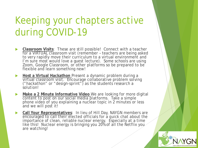- **Classroom Visits**: These are still possible! Connect with a teacher for a VIRTUAL classroom visit (remember teachers are being asked to very rapidly move their curriculum to a virtual environment and I'm sure most would *love* a guest lecture). Some schools are using Zoom, Google Classroom, or other platforms so be prepared to be flexible and learn something new!
- **Host a Virtual Hackathon** Present a dynamic problem during a virtual classroom visit. Encourage collaborative problem solving ("hackathon" or "design-sprint") as the students research a solution!
- **Make a 2 Minute Informative Video** We are looking for more digital content to post on our social media platforms. Take a simple phone video of you explaining a nuclear topic in 2 minutes or less and we will post it!
- **Call Your Representatives**: In lieu of Hill Day, NAYGN members are encouraged to call their elected officials for a quick chat about the importance of clean, reliable nuclear energy. Especially at a time like this! Nuclear energy is bringing you 20% of all the Netflix you are watching!

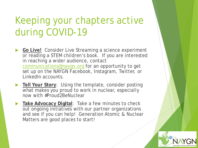- **Go Live!** Consider Live Streaming a science experiment or reading a STEM children's book. If you are interested in reaching a wider audience, contact [communications@naygn.org](mailto:communications@naygn.org) for an opportunity to get set up on the NAYGN Facebook, Instagram, Twitter, or LinkedIn accounts.
- **Tell Your Story:** Using the template, consider posting what makes you proud to work in nuclear, *especially now* with #Proud2BeNuclear
- **Take Advocacy Digital**: Take a few minutes to check out ongoing initiatives with our partner organizations and see if you can help! Generation Atomic & Nuclear Matters are good places to start!

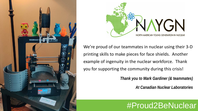



We're proud of our teammates in nuclear using their 3-D printing skills to make pieces for face shields. Another example of ingenuity in the nuclear workforce. Thank you for supporting the community during this crisis!

*Thank you to Mark Gardiner (& teammates)*

*At Canadian Nuclear Laboratories*

# #Proud2BeNuclear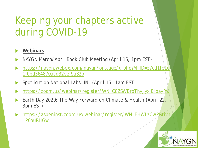#### **Webinars**

- NAYGN March/April Book Club Meeting (April 15, 1pm EST)
- https://naygn.webex.com/naygn/onstage/g.php?MTID=e7cd1fe|1d 1f0bd364870acd32eef9a32b
- Spotlight on National Labs: INL (April 15 11am EST
- [https://zoom.us/webinar/register/WN\\_C8ZSWBroThyJyxlEjbayRw](https://can01.safelinks.protection.outlook.com/?url=https%3A%2F%2Fzoom.us%2Fwebinar%2Fregister%2FWN_C8ZSWBroThyJyxlEjbayRw&data=02%7C01%7Cmatthew.mairinger%40opg.com%7C9032bfdcd54f4b6928af08d7dffb4a7a%7C962f21cf93ea449f99bf402e2b2987b2%7C0%7C0%7C637224142694033291&sdata=7pqlyTAaUN6eS6As%2BcZVBdxC37WN3xopD0%2FLw3i%2BqEg%3D&reserved=0)
- Earth Day 2020: The Way Forward on Climate & Health (April 22, 3pm EST)
- [https://aspeninst.zoom.us/webinar/register/WN\\_FHWLzCwPRtivn](https://can01.safelinks.protection.outlook.com/?url=https%3A%2F%2Faspeninst.zoom.us%2Fwebinar%2Fregister%2FWN_FHWLzCwPRtivn_P0ouRHGw&data=02%7C01%7Cmatthew.mairinger%40opg.com%7C9032bfdcd54f4b6928af08d7dffb4a7a%7C962f21cf93ea449f99bf402e2b2987b2%7C0%7C0%7C637224142694033291&sdata=AqujGioPswKmI67y9CEcgHkH3VhT%2BoZscQqot4N2QKM%3D&reserved=0) \_P0ouRHGw

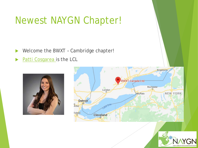#### Newest NAYGN Chapter!

- Welcome the BWXT Cambridge chapter!
- [Patti Cosgarea i](mailto:pcosgarea@bwxt.com)s the LCL





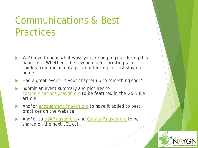### Communications & Best **Practices**

- We'd love to hear what ways you are helping out during this pandemic. Whether it be sewing masks, printing face shields, working an outage, volunteering, or just staying home!
- Had a great event? Is your chapter up to something cool?
- Submit an event summary and pictures to [communications@naygn.org](mailto:communications@naygn.org) to be featured in the Go Nuke article.
- And/or [engagement@naygn.org](mailto:engagement@naygn.org) to have it added to best practices on the website.
- And/or to [USA@naygn.org](mailto:USA@naygn.org) and [Canada@naygn.org](mailto:Canada@naygn.org) to be shared on the next LCL call.